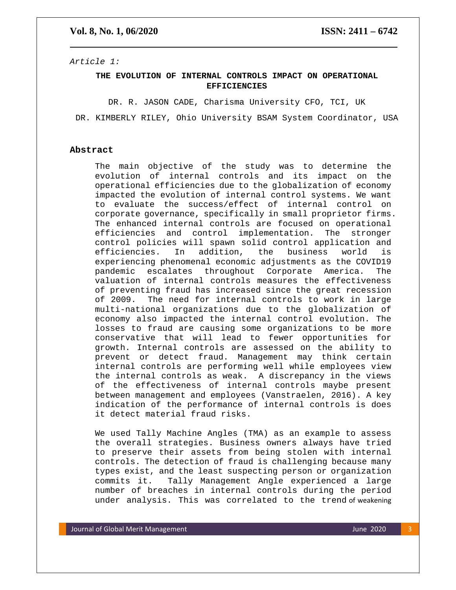## **Vol. 8, No. 1, 06/2020 ISSN: 2411 – 6742**

*Article 1:* 

## **THE EVOLUTION OF INTERNAL CONTROLS IMPACT ON OPERATIONAL EFFICIENCIES**

DR. R. JASON CADE, Charisma University CFO, TCI, UK

DR. KIMBERLY RILEY, Ohio University BSAM System Coordinator, USA

## **Abstract**

The main objective of the study was to determine the evolution of internal controls and its impact on the operational efficiencies due to the globalization of economy impacted the evolution of internal control systems. We want to evaluate the success/effect of internal control on corporate governance, specifically in small proprietor firms. The enhanced internal controls are focused on operational efficiencies and control implementation. The stronger control policies will spawn solid control application and efficiencies. In addition, the business world is experiencing phenomenal economic adjustments as the COVID19 pandemic escalates throughout Corporate America. The valuation of internal controls measures the effectiveness of preventing fraud has increased since the great recession of 2009. The need for internal controls to work in large multi-national organizations due to the globalization of economy also impacted the internal control evolution. The losses to fraud are causing some organizations to be more conservative that will lead to fewer opportunities for growth. Internal controls are assessed on the ability to prevent or detect fraud. Management may think certain internal controls are performing well while employees view the internal controls as weak. A discrepancy in the views of the effectiveness of internal controls maybe present between management and employees (Vanstraelen, 2016). A key indication of the performance of internal controls is does it detect material fraud risks.

We used Tally Machine Angles (TMA) as an example to assess the overall strategies. Business owners always have tried to preserve their assets from being stolen with internal controls. The detection of fraud is challenging because many types exist, and the least suspecting person or organization commits it. Tally Management Angle experienced a large number of breaches in internal controls during the period under analysis. This was correlated to the trend of weakening